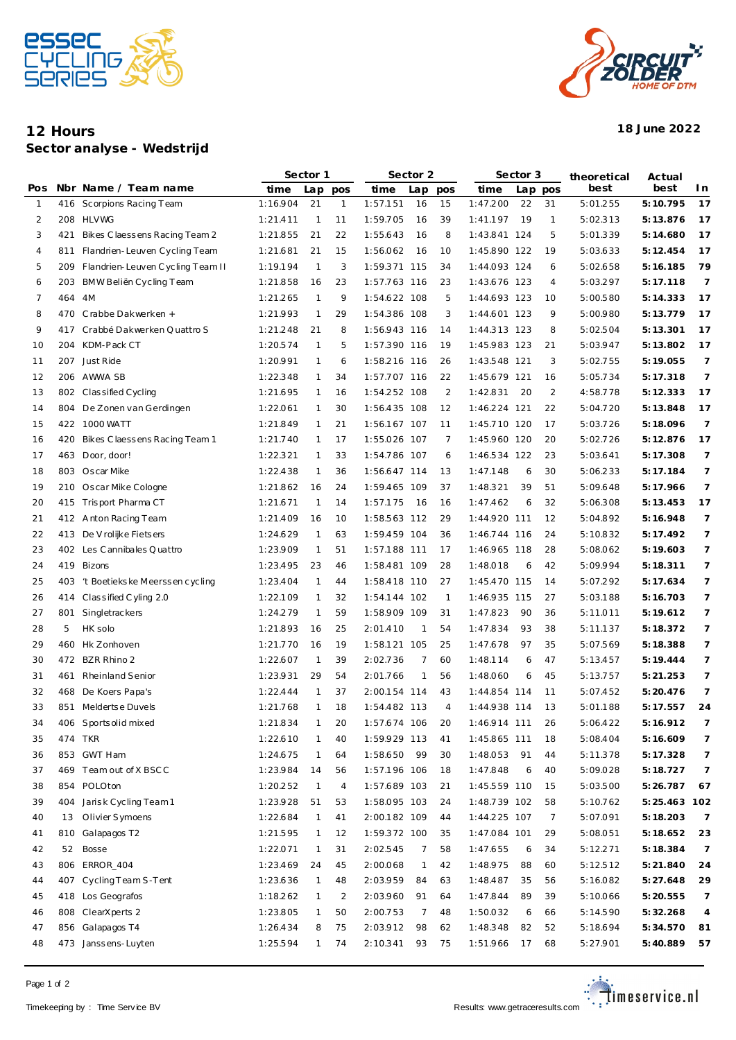



## **12 Hours 18 June 2022 Sector analyse - Wedstrijd**

|              |     |                                  | Sector 1 |                |     | Sector 2     |     |                | Sector 3     |     |              | theoretical | Actual       |                |
|--------------|-----|----------------------------------|----------|----------------|-----|--------------|-----|----------------|--------------|-----|--------------|-------------|--------------|----------------|
| Pos          |     | Nbr Name / Team name             | time     | Lap            | pos | time         | Lap | pos            | time         |     | Lap pos      | best        | best         | I n            |
| $\mathbf{1}$ |     | 416 Scorpions Racing Team        | 1:16.904 | 21             | 1   | 1:57.151     | 16  | 15             | 1:47.200     | 22  | 31           | 5:01.255    | 5:10.795     | 17             |
| 2            | 208 | <b>HLVWG</b>                     | 1:21.411 | $\overline{1}$ | 11  | 1:59.705     | 16  | 39             | 1:41.197     | 19  | $\mathbf{1}$ | 5:02.313    | 5:13.876     | 17             |
| 3            | 421 | Bikes Claessens Racing Team 2    | 1:21.855 | 21             | 22  | 1:55.643     | 16  | 8              | 1:43.841 124 |     | 5            | 5:01.339    | 5:14.680     | 17             |
| 4            | 811 | Flandrien-Leuven Cycling Team    | 1:21.681 | 21             | 15  | 1:56.062     | 16  | 10             | 1:45.890 122 |     | 19           | 5:03.633    | 5:12.454     | 17             |
| 5            | 209 | Flandrien-Leuven Cycling Team II | 1:19.194 | $\mathbf{1}$   | 3   | 1:59.371 115 |     | 34             | 1:44.093 124 |     | 6            | 5:02.658    | 5:16.185     | 79             |
| 6            | 203 | BMW Beliën Cycling Team          | 1:21.858 | 16             | 23  | 1:57.763 116 |     | 23             | 1:43.676 123 |     | 4            | 5:03.297    | 5:17.118     | $\overline{7}$ |
| 7            | 464 | 4M                               | 1:21.265 | 1              | 9   | 1:54.622 108 |     | 5              | 1:44.693 123 |     | 10           | 5:00.580    | 5:14.333     | 17             |
| 8            | 470 | Crabbe Dakwerken +               | 1:21.993 | 1              | 29  | 1:54.386 108 |     | 3              | 1:44.601 123 |     | 9            | 5:00.980    | 5:13.779     | 17             |
| 9            | 417 | Crabbé Dakwerken Quattro S       | 1:21.248 | 21             | 8   | 1:56.943 116 |     | 14             | 1:44.313 123 |     | 8            | 5:02.504    | 5:13.301     | 17             |
| 10           | 204 | KDM-Pack CT                      | 1:20.574 | 1              | 5   | 1:57.390 116 |     | 19             | 1:45.983 123 |     | 21           | 5:03.947    | 5:13.802     | 17             |
| 11           | 207 | Just Ride                        | 1:20.991 | 1              | 6   | 1:58.216 116 |     | 26             | 1:43.548 121 |     | 3            | 5:02.755    | 5:19.055     | $\overline{7}$ |
| 12           |     | 206 AWWA SB                      | 1:22.348 | 1              | 34  | 1:57.707 116 |     | 22             | 1:45.679 121 |     | 16           | 5:05.734    | 5:17.318     | $\overline{7}$ |
| 13           |     | 802 Classified Cycling           | 1:21.695 | 1              | 16  | 1:54.252 108 |     | 2              | 1:42.831     | -20 | 2            | 4:58.778    | 5:12.333     | 17             |
| 14           | 804 | De Zonen van Gerdingen           | 1:22.061 | 1              | 30  | 1:56.435 108 |     | 12             | 1:46.224 121 |     | 22           | 5:04.720    | 5:13.848     | 17             |
| 15           | 422 | 1000 WATT                        | 1:21.849 | 1              | 21  | 1:56.167 107 |     | 11             | 1:45.710 120 |     | 17           | 5:03.726    | 5:18.096     | $\overline{7}$ |
| 16           | 420 | Bikes Claessens Racing Team 1    | 1:21.740 | 1              | 17  | 1:55.026 107 |     | 7              | 1:45.960 120 |     | 20           | 5:02.726    | 5:12.876     | 17             |
| 17           |     | 463 Door, door!                  | 1:22.321 | 1              | 33  | 1:54.786 107 |     | 6              | 1:46.534 122 |     | 23           | 5:03.641    | 5:17.308     | $\overline{7}$ |
| 18           |     | 803 Oscar Mike                   | 1:22.438 | $\mathbf{1}$   | 36  | 1:56.647 114 |     | 13             | 1:47.148     | 6   | 30           | 5:06.233    | 5:17.184     | $\overline{7}$ |
| 19           |     | 210 Oscar Mike Cologne           | 1:21.862 | 16             | 24  | 1:59.465 109 |     | 37             | 1:48.321     | 39  | 51           | 5:09.648    | 5:17.966     | 7              |
| 20           |     | 415 Trisport Pharma CT           | 1:21.671 | 1              | 14  | 1:57.175     | -16 | 16             | 1:47.462     | 6   | 32           | 5:06.308    | 5:13.453     | 17             |
| 21           |     | 412 Anton Racing Team            | 1:21.409 | 16             | 10  | 1:58.563 112 |     | 29             | 1:44.920 111 |     | 12           | 5:04.892    | 5:16.948     | $\overline{7}$ |
| 22           |     | 413 De V rolijke Fietsers        | 1:24.629 | 1              | 63  | 1:59.459 104 |     | 36             | 1:46.744 116 |     | 24           | 5:10.832    | 5:17.492     | 7              |
| 23           | 402 | Les Cannibales Quattro           | 1:23.909 | 1              | 51  | 1:57.188 111 |     | 17             | 1:46.965 118 |     | 28           | 5:08.062    | 5:19.603     | 7              |
| 24           | 419 | Bizons                           | 1:23.495 | 23             | 46  | 1:58.481 109 |     | 28             | 1:48.018     | 6   | 42           | 5:09.994    | 5:18.311     | 7              |
| 25           | 403 | 't Boetiekske Meerssen cycling   | 1:23.404 | 1              | 44  | 1:58.418 110 |     | 27             | 1:45.470 115 |     | 14           | 5:07.292    | 5:17.634     | 7              |
| 26           | 414 | Classified Cyling 2.0            | 1:22.109 | 1              | 32  | 1:54.144 102 |     | $\overline{1}$ | 1:46.935 115 |     | 27           | 5:03.188    | 5:16.703     | 7              |
| 27           | 801 | Singletrackers                   | 1:24.279 | 1              | 59  | 1:58.909 109 |     | 31             | 1:47.823     | 90  | 36           | 5:11.011    | 5:19.612     | 7              |
| 28           | 5   | HK solo                          | 1:21.893 | 16             | 25  | 2:01.410     | 1   | 54             | 1:47.834     | 93  | 38           | 5:11.137    | 5:18.372     | 7              |
| 29           | 460 | Hk Zonhoven                      | 1:21.770 | 16             | 19  | 1:58.121 105 |     | 25             | 1:47.678     | 97  | 35           | 5:07.569    | 5:18.388     | 7              |
| 30           |     | 472 BZR Rhino 2                  | 1:22.607 | $\mathbf{1}$   | 39  | 2:02.736     | 7   | 60             | 1:48.114     | 6   | 47           | 5:13.457    | 5:19.444     | 7              |
| 31           | 461 | Rheinland Senior                 | 1:23.931 | 29             | 54  | 2:01.766     | 1   | 56             | 1:48.060     | 6   | 45           | 5:13.757    | 5: 21.253    | 7              |
| 32           | 468 | De Koers Papa's                  | 1:22.444 | 1              | 37  | 2:00.154 114 |     | 43             | 1:44.854 114 |     | 11           | 5:07.452    | 5: 20.476    | 7              |
| 33           |     | 851 Meldertse Duvels             | 1:21.768 | $\mathbf{1}$   | 18  | 1:54.482 113 |     | 4              | 1:44.938 114 |     | 13           | 5:01.188    | 5:17.557     | 24             |
| 34           |     | 406 Sportsolid mixed             | 1:21.834 | $\mathbf{1}$   | 20  | 1:57.674 106 |     | 20             | 1:46.914 111 |     | 26           | 5:06.422    | 5:16.912     |                |
| 35           |     | 474 TKR                          | 1:22.610 | 1              | 40  | 1:59.929 113 |     | 41             | 1:45.865 111 |     | 18           | 5:08.404    | 5:16.609     | 7              |
| 36           |     | 853 GWT Ham                      | 1:24.675 | 1              | 64  | 1:58.650     | -99 | 30             | 1:48.053     | 91  | 44           | 5:11.378    | 5:17.328     | 7              |
| 37           | 469 | Team out of X BSCC               | 1:23.984 | 14             | 56  | 1:57.196 106 |     | 18             | 1:47.848     | 6   | 40           | 5:09.028    | 5:18.727     | $\overline{7}$ |
| 38           |     | 854 POLOton                      | 1:20.252 | $\mathbf{1}$   | 4   | 1:57.689 103 |     | 21             | 1:45.559 110 |     | 15           | 5:03.500    | 5:26.787     | 67             |
| 39           | 404 | Jarisk Cycling Team 1            | 1:23.928 | 51             | 53  | 1:58.095 103 |     | 24             | 1:48.739 102 |     | 58           | 5:10.762    | 5:25.463 102 |                |
| 40           | 13  | Olivier Symoens                  | 1:22.684 | 1              | 41  | 2:00.182 109 |     | 44             | 1:44.225 107 |     | 7            | 5:07.091    | 5:18.203     | $\overline{7}$ |
| 41           | 810 | Galapagos T2                     | 1:21.595 | 1              | 12  | 1:59.372 100 |     | 35             | 1:47.084 101 |     | 29           | 5:08.051    | 5:18.652     | 23             |
| 42           | 52  | Bosse                            | 1:22.071 | $\mathbf{1}$   | 31  | 2:02.545     | 7   | 58             | 1:47.655     | 6   | 34           | 5:12.271    | 5:18.384     | $\overline{7}$ |
| 43           | 806 | <b>ERROR_404</b>                 | 1:23.469 | 24             | 45  | 2:00.068     | 1   | 42             | 1:48.975     | 88  | 60           | 5:12.512    | 5:21.840     | 24             |
| 44           |     | 407 Cycling Team S-Tent          | 1:23.636 | 1              | 48  | 2:03.959     | 84  | 63             | 1:48.487     | 35  | 56           | 5:16.082    | 5:27.648     | 29             |
| 45           |     | 418 Los Geografos                | 1:18.262 | 1              | 2   | 2:03.960     | 91  | 64             | 1:47.844     | 89  | 39           | 5:10.066    | 5: 20.555    | $\overline{7}$ |
| 46           |     | 808 ClearXperts 2                | 1:23.805 | 1              | 50  | 2:00.753     | 7   | 48             | 1:50.032     | 6   | 66           | 5:14.590    | 5:32.268     | $\overline{4}$ |
| 47           |     | 856 Galapagos T4                 | 1:26.434 | 8              | 75  | 2:03.912     | 98  | 62             | 1:48.348     | 82  | 52           | 5:18.694    | 5:34.570     | 81             |
| 48           |     | 473 Janssens-Luyten              | 1:25.594 | 1              | 74  | 2:10.341     | 93  | 75             | 1:51.966     | 17  | 68           | 5:27.901    | 5:40.889     | 57             |
|              |     |                                  |          |                |     |              |     |                |              |     |              |             |              |                |